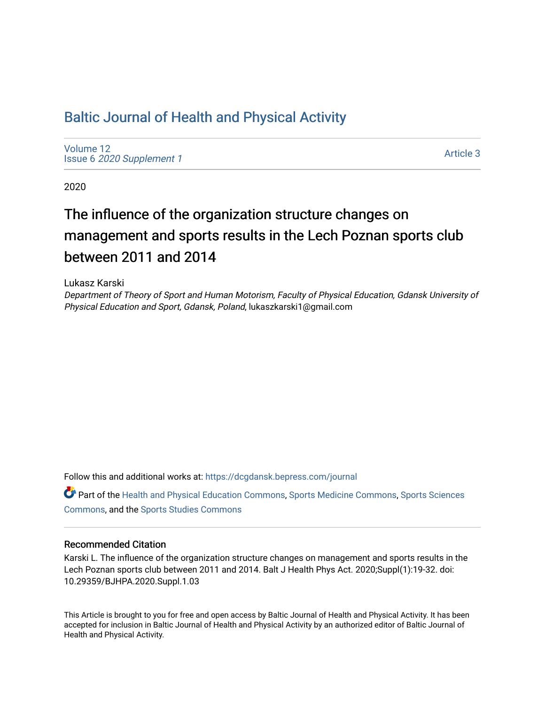## [Baltic Journal of Health and Physical Activity](https://dcgdansk.bepress.com/journal)

[Volume 12](https://dcgdansk.bepress.com/journal/vol12) Issue 6 [2020 Supplement 1](https://dcgdansk.bepress.com/journal/vol12/iss6) 

[Article 3](https://dcgdansk.bepress.com/journal/vol12/iss6/3) 

2020

# The influence of the organization structure changes on management and sports results in the Lech Poznan sports club between 2011 and 2014

Lukasz Karski

Department of Theory of Sport and Human Motorism, Faculty of Physical Education, Gdansk University of Physical Education and Sport, Gdansk, Poland, lukaszkarski1@gmail.com

Follow this and additional works at: [https://dcgdansk.bepress.com/journal](https://dcgdansk.bepress.com/journal?utm_source=dcgdansk.bepress.com%2Fjournal%2Fvol12%2Fiss6%2F3&utm_medium=PDF&utm_campaign=PDFCoverPages)

Part of the [Health and Physical Education Commons](http://network.bepress.com/hgg/discipline/1327?utm_source=dcgdansk.bepress.com%2Fjournal%2Fvol12%2Fiss6%2F3&utm_medium=PDF&utm_campaign=PDFCoverPages), [Sports Medicine Commons,](http://network.bepress.com/hgg/discipline/1331?utm_source=dcgdansk.bepress.com%2Fjournal%2Fvol12%2Fiss6%2F3&utm_medium=PDF&utm_campaign=PDFCoverPages) [Sports Sciences](http://network.bepress.com/hgg/discipline/759?utm_source=dcgdansk.bepress.com%2Fjournal%2Fvol12%2Fiss6%2F3&utm_medium=PDF&utm_campaign=PDFCoverPages) [Commons](http://network.bepress.com/hgg/discipline/759?utm_source=dcgdansk.bepress.com%2Fjournal%2Fvol12%2Fiss6%2F3&utm_medium=PDF&utm_campaign=PDFCoverPages), and the [Sports Studies Commons](http://network.bepress.com/hgg/discipline/1198?utm_source=dcgdansk.bepress.com%2Fjournal%2Fvol12%2Fiss6%2F3&utm_medium=PDF&utm_campaign=PDFCoverPages) 

#### Recommended Citation

Karski L. The influence of the organization structure changes on management and sports results in the Lech Poznan sports club between 2011 and 2014. Balt J Health Phys Act. 2020;Suppl(1):19-32. doi: 10.29359/BJHPA.2020.Suppl.1.03

This Article is brought to you for free and open access by Baltic Journal of Health and Physical Activity. It has been accepted for inclusion in Baltic Journal of Health and Physical Activity by an authorized editor of Baltic Journal of Health and Physical Activity.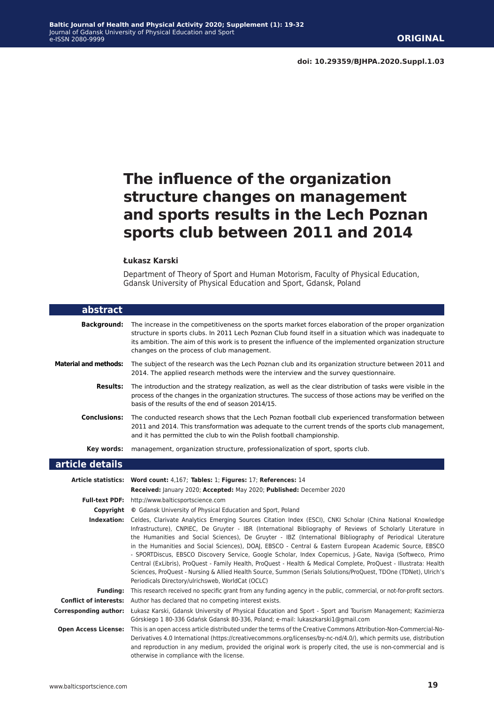## **The influence of the organization structure changes on management and sports results in the Lech Poznan sports club between 2011 and 2014**

#### **Łukasz Karski**

Department of Theory of Sport and Human Motorism, Faculty of Physical Education, Gdansk University of Physical Education and Sport, Gdansk, Poland

| abstract                      |                                                                                                                                                                                                                                                                                                                                                                                                                                                                                                                                                                                                                                                                                                                                                                                                                                                               |
|-------------------------------|---------------------------------------------------------------------------------------------------------------------------------------------------------------------------------------------------------------------------------------------------------------------------------------------------------------------------------------------------------------------------------------------------------------------------------------------------------------------------------------------------------------------------------------------------------------------------------------------------------------------------------------------------------------------------------------------------------------------------------------------------------------------------------------------------------------------------------------------------------------|
| <b>Background:</b>            | The increase in the competitiveness on the sports market forces elaboration of the proper organization<br>structure in sports clubs. In 2011 Lech Poznan Club found itself in a situation which was inadequate to<br>its ambition. The aim of this work is to present the influence of the implemented organization structure<br>changes on the process of club management.                                                                                                                                                                                                                                                                                                                                                                                                                                                                                   |
| <b>Material and methods:</b>  | The subject of the research was the Lech Poznan club and its organization structure between 2011 and<br>2014. The applied research methods were the interview and the survey questionnaire.                                                                                                                                                                                                                                                                                                                                                                                                                                                                                                                                                                                                                                                                   |
| <b>Results:</b>               | The introduction and the strategy realization, as well as the clear distribution of tasks were visible in the<br>process of the changes in the organization structures. The success of those actions may be verified on the<br>basis of the results of the end of season 2014/15.                                                                                                                                                                                                                                                                                                                                                                                                                                                                                                                                                                             |
| <b>Conclusions:</b>           | The conducted research shows that the Lech Poznan football club experienced transformation between<br>2011 and 2014. This transformation was adequate to the current trends of the sports club management,<br>and it has permitted the club to win the Polish football championship.                                                                                                                                                                                                                                                                                                                                                                                                                                                                                                                                                                          |
| Key words:                    | management, organization structure, professionalization of sport, sports club.                                                                                                                                                                                                                                                                                                                                                                                                                                                                                                                                                                                                                                                                                                                                                                                |
| article details               |                                                                                                                                                                                                                                                                                                                                                                                                                                                                                                                                                                                                                                                                                                                                                                                                                                                               |
| Article statistics:           | Word count: 4,167; Tables: 1; Figures: 17; References: 14<br>Received: January 2020; Accepted: May 2020; Published: December 2020                                                                                                                                                                                                                                                                                                                                                                                                                                                                                                                                                                                                                                                                                                                             |
|                               | Full-text PDF: http://www.balticsportscience.com                                                                                                                                                                                                                                                                                                                                                                                                                                                                                                                                                                                                                                                                                                                                                                                                              |
| Copyright                     | © Gdansk University of Physical Education and Sport, Poland                                                                                                                                                                                                                                                                                                                                                                                                                                                                                                                                                                                                                                                                                                                                                                                                   |
| Indexation:                   | Celdes, Clarivate Analytics Emerging Sources Citation Index (ESCI), CNKI Scholar (China National Knowledge<br>Infrastructure), CNPIEC, De Gruyter - IBR (International Bibliography of Reviews of Scholarly Literature in<br>the Humanities and Social Sciences), De Gruyter - IBZ (International Bibliography of Periodical Literature<br>in the Humanities and Social Sciences), DOAJ, EBSCO - Central & Eastern European Academic Source, EBSCO<br>- SPORTDiscus, EBSCO Discovery Service, Google Scholar, Index Copernicus, J-Gate, Naviga (Softweco, Primo<br>Central (ExLibris), ProQuest - Family Health, ProQuest - Health & Medical Complete, ProQuest - Illustrata: Health<br>Sciences, ProQuest - Nursing & Allied Health Source, Summon (Serials Solutions/ProQuest, TDOne (TDNet), Ulrich's<br>Periodicals Directory/ulrichsweb, WorldCat (OCLC) |
| <b>Fundina:</b>               | This research received no specific grant from any funding agency in the public, commercial, or not-for-profit sectors.                                                                                                                                                                                                                                                                                                                                                                                                                                                                                                                                                                                                                                                                                                                                        |
| <b>Conflict of interests:</b> | Author has declared that no competing interest exists.                                                                                                                                                                                                                                                                                                                                                                                                                                                                                                                                                                                                                                                                                                                                                                                                        |
| Corresponding author:         | Łukasz Karski, Gdansk University of Physical Education and Sport - Sport and Tourism Management; Kazimierza<br>Górskiego 1 80-336 Gdańsk Gdansk 80-336, Poland; e-mail: lukaszkarski1@gmail.com                                                                                                                                                                                                                                                                                                                                                                                                                                                                                                                                                                                                                                                               |
| <b>Open Access License:</b>   | This is an open access article distributed under the terms of the Creative Commons Attribution-Non-Commercial-No-<br>Derivatives 4.0 International (https://creativecommons.org/licenses/by-nc-nd/4.0/), which permits use, distribution<br>and reproduction in any medium, provided the original work is properly cited, the use is non-commercial and is<br>otherwise in compliance with the license.                                                                                                                                                                                                                                                                                                                                                                                                                                                       |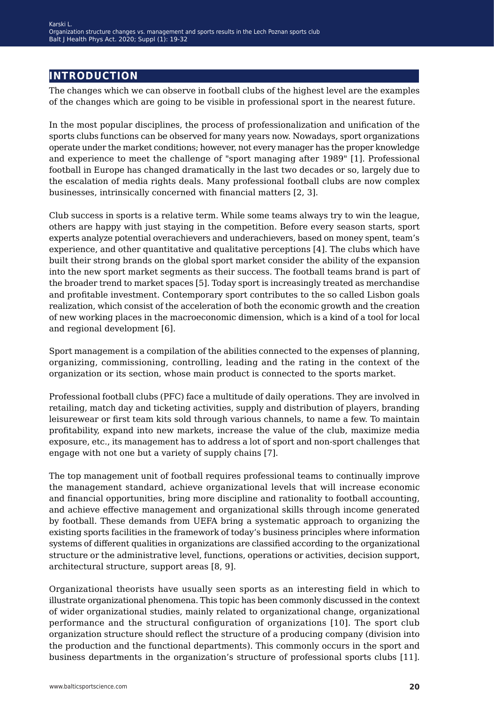### **introduction**

The changes which we can observe in football clubs of the highest level are the examples of the changes which are going to be visible in professional sport in the nearest future.

In the most popular disciplines, the process of professionalization and unification of the sports clubs functions can be observed for many years now. Nowadays, sport organizations operate under the market conditions; however, not every manager has the proper knowledge and experience to meet the challenge of "sport managing after 1989" [1]. Professional football in Europe has changed dramatically in the last two decades or so, largely due to the escalation of media rights deals. Many professional football clubs are now complex businesses, intrinsically concerned with financial matters [2, 3].

Club success in sports is a relative term. While some teams always try to win the league, others are happy with just staying in the competition. Before every season starts, sport experts analyze potential overachievers and underachievers, based on money spent, team's experience, and other quantitative and qualitative perceptions [4]. The clubs which have built their strong brands on the global sport market consider the ability of the expansion into the new sport market segments as their success. The football teams brand is part of the broader trend to market spaces [5]. Today sport is increasingly treated as merchandise and profitable investment. Contemporary sport contributes to the so called Lisbon goals realization, which consist of the acceleration of both the economic growth and the creation of new working places in the macroeconomic dimension, which is a kind of a tool for local and regional development [6].

Sport management is a compilation of the abilities connected to the expenses of planning, organizing, commissioning, controlling, leading and the rating in the context of the organization or its section, whose main product is connected to the sports market.

Professional football clubs (PFC) face a multitude of daily operations. They are involved in retailing, match day and ticketing activities, supply and distribution of players, branding leisurewear or first team kits sold through various channels, to name a few. To maintain profitability, expand into new markets, increase the value of the club, maximize media exposure, etc., its management has to address a lot of sport and non-sport challenges that engage with not one but a variety of supply chains [7].

The top management unit of football requires professional teams to continually improve the management standard, achieve organizational levels that will increase economic and financial opportunities, bring more discipline and rationality to football accounting, and achieve effective management and organizational skills through income generated by football. These demands from UEFA bring a systematic approach to organizing the existing sports facilities in the framework of today's business principles where information systems of different qualities in organizations are classified according to the organizational structure or the administrative level, functions, operations or activities, decision support, architectural structure, support areas [8, 9].

Organizational theorists have usually seen sports as an interesting field in which to illustrate organizational phenomena. This topic has been commonly discussed in the context of wider organizational studies, mainly related to organizational change, organizational performance and the structural configuration of organizations [10]. The sport club organization structure should reflect the structure of a producing company (division into the production and the functional departments). This commonly occurs in the sport and business departments in the organization's structure of professional sports clubs [11].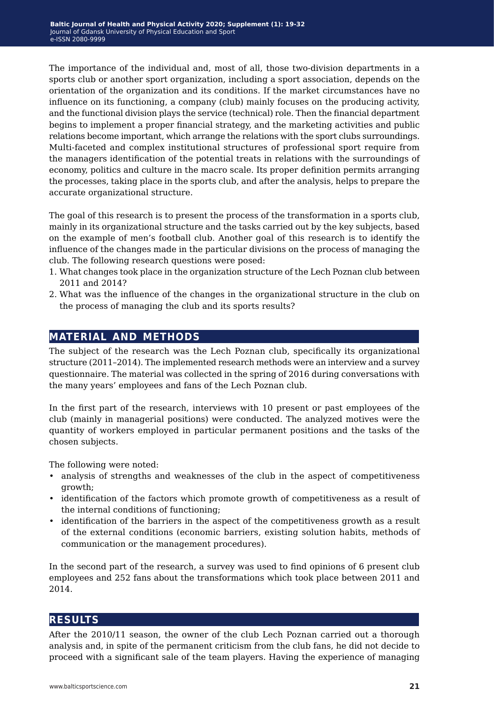The importance of the individual and, most of all, those two-division departments in a sports club or another sport organization, including a sport association, depends on the orientation of the organization and its conditions. If the market circumstances have no influence on its functioning, a company (club) mainly focuses on the producing activity, and the functional division plays the service (technical) role. Then the financial department begins to implement a proper financial strategy, and the marketing activities and public relations become important, which arrange the relations with the sport clubs surroundings. Multi-faceted and complex institutional structures of professional sport require from the managers identification of the potential treats in relations with the surroundings of economy, politics and culture in the macro scale. Its proper definition permits arranging the processes, taking place in the sports club, and after the analysis, helps to prepare the accurate organizational structure.

The goal of this research is to present the process of the transformation in a sports club, mainly in its organizational structure and the tasks carried out by the key subjects, based on the example of men's football club. Another goal of this research is to identify the influence of the changes made in the particular divisions on the process of managing the club. The following research questions were posed:

- 1. What changes took place in the organization structure of the Lech Poznan club between 2011 and 2014?
- 2. What was the influence of the changes in the organizational structure in the club on the process of managing the club and its sports results?

## **material and methods**

The subject of the research was the Lech Poznan club, specifically its organizational structure (2011–2014). The implemented research methods were an interview and a survey questionnaire. The material was collected in the spring of 2016 during conversations with the many years' employees and fans of the Lech Poznan club.

In the first part of the research, interviews with 10 present or past employees of the club (mainly in managerial positions) were conducted. The analyzed motives were the quantity of workers employed in particular permanent positions and the tasks of the chosen subjects.

The following were noted:

- analysis of strengths and weaknesses of the club in the aspect of competitiveness growth;
- identification of the factors which promote growth of competitiveness as a result of the internal conditions of functioning;
- identification of the barriers in the aspect of the competitiveness growth as a result of the external conditions (economic barriers, existing solution habits, methods of communication or the management procedures).

In the second part of the research, a survey was used to find opinions of 6 present club employees and 252 fans about the transformations which took place between 2011 and 2014.

#### **results**

After the 2010/11 season, the owner of the club Lech Poznan carried out a thorough analysis and, in spite of the permanent criticism from the club fans, he did not decide to proceed with a significant sale of the team players. Having the experience of managing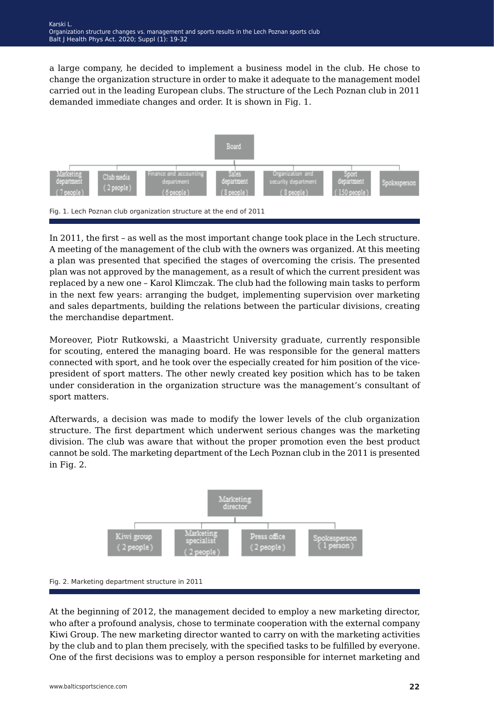a large company, he decided to implement a business model in the club. He chose to change the organization structure in order to make it adequate to the management model carried out in the leading European clubs. The structure of the Lech Poznan club in 2011 demanded immediate changes and order. It is shown in Fig. 1.



In 2011, the first – as well as the most important change took place in the Lech structure. A meeting of the management of the club with the owners was organized. At this meeting a plan was presented that specified the stages of overcoming the crisis. The presented plan was not approved by the management, as a result of which the current president was replaced by a new one – Karol Klimczak. The club had the following main tasks to perform in the next few years: arranging the budget, implementing supervision over marketing and sales departments, building the relations between the particular divisions, creating the merchandise department.

Moreover, Piotr Rutkowski, a Maastricht University graduate, currently responsible for scouting, entered the managing board. He was responsible for the general matters connected with sport, and he took over the especially created for him position of the vicepresident of sport matters. The other newly created key position which has to be taken under consideration in the organization structure was the management's consultant of sport matters.

Afterwards, a decision was made to modify the lower levels of the club organization structure. The first department which underwent serious changes was the marketing division. The club was aware that without the proper promotion even the best product cannot be sold. The marketing department of the Lech Poznan club in the 2011 is presented in Fig. 2.



Fig. 2. Marketing department structure in 2011

At the beginning of 2012, the management decided to employ a new marketing director, who after a profound analysis, chose to terminate cooperation with the external company Kiwi Group. The new marketing director wanted to carry on with the marketing activities by the club and to plan them precisely, with the specified tasks to be fulfilled by everyone. One of the first decisions was to employ a person responsible for internet marketing and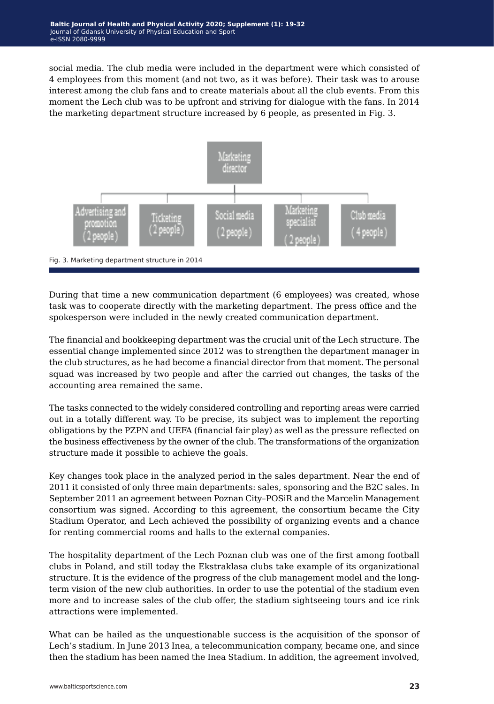social media. The club media were included in the department were which consisted of 4 employees from this moment (and not two, as it was before). Their task was to arouse interest among the club fans and to create materials about all the club events. From this moment the Lech club was to be upfront and striving for dialogue with the fans. In 2014 the marketing department structure increased by 6 people, as presented in Fig. 3.



During that time a new communication department (6 employees) was created, whose task was to cooperate directly with the marketing department. The press office and the spokesperson were included in the newly created communication department.

The financial and bookkeeping department was the crucial unit of the Lech structure. The essential change implemented since 2012 was to strengthen the department manager in the club structures, as he had become a financial director from that moment. The personal squad was increased by two people and after the carried out changes, the tasks of the accounting area remained the same.

The tasks connected to the widely considered controlling and reporting areas were carried out in a totally different way. To be precise, its subject was to implement the reporting obligations by the PZPN and UEFA (financial fair play) as well as the pressure reflected on the business effectiveness by the owner of the club. The transformations of the organization structure made it possible to achieve the goals.

Key changes took place in the analyzed period in the sales department. Near the end of 2011 it consisted of only three main departments: sales, sponsoring and the B2C sales. In September 2011 an agreement between Poznan City–POSiR and the Marcelin Management consortium was signed. According to this agreement, the consortium became the City Stadium Operator, and Lech achieved the possibility of organizing events and a chance for renting commercial rooms and halls to the external companies.

The hospitality department of the Lech Poznan club was one of the first among football clubs in Poland, and still today the Ekstraklasa clubs take example of its organizational structure. It is the evidence of the progress of the club management model and the longterm vision of the new club authorities. In order to use the potential of the stadium even more and to increase sales of the club offer, the stadium sightseeing tours and ice rink attractions were implemented.

What can be hailed as the unquestionable success is the acquisition of the sponsor of Lech's stadium. In June 2013 Inea, a telecommunication company, became one, and since then the stadium has been named the Inea Stadium. In addition, the agreement involved,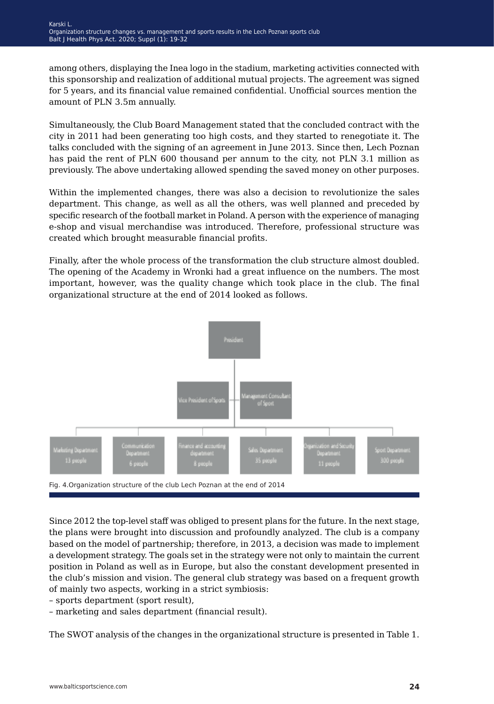among others, displaying the Inea logo in the stadium, marketing activities connected with this sponsorship and realization of additional mutual projects. The agreement was signed for 5 years, and its financial value remained confidential. Unofficial sources mention the amount of PLN 3.5m annually.

Simultaneously, the Club Board Management stated that the concluded contract with the city in 2011 had been generating too high costs, and they started to renegotiate it. The talks concluded with the signing of an agreement in June 2013. Since then, Lech Poznan has paid the rent of PLN 600 thousand per annum to the city, not PLN 3.1 million as previously. The above undertaking allowed spending the saved money on other purposes.

Within the implemented changes, there was also a decision to revolutionize the sales department. This change, as well as all the others, was well planned and preceded by specific research of the football market in Poland. A person with the experience of managing e-shop and visual merchandise was introduced. Therefore, professional structure was created which brought measurable financial profits.

Finally, after the whole process of the transformation the club structure almost doubled. The opening of the Academy in Wronki had a great influence on the numbers. The most important, however, was the quality change which took place in the club. The final organizational structure at the end of 2014 looked as follows.



Since 2012 the top-level staff was obliged to present plans for the future. In the next stage, the plans were brought into discussion and profoundly analyzed. The club is a company based on the model of partnership; therefore, in 2013, a decision was made to implement a development strategy. The goals set in the strategy were not only to maintain the current position in Poland as well as in Europe, but also the constant development presented in the club's mission and vision. The general club strategy was based on a frequent growth of mainly two aspects, working in a strict symbiosis:

- sports department (sport result),
- marketing and sales department (financial result).

The SWOT analysis of the changes in the organizational structure is presented in Table 1.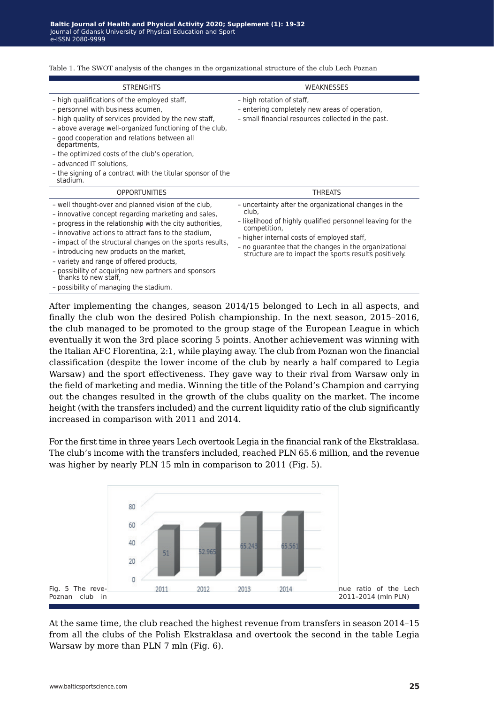| <b>STRENGHTS</b>                                                                                                                                                                                                                                                                                                                                                                                                                                                                                                | <b>WFAKNESSES</b>                                                                                                                                                                                                                                                                                             |
|-----------------------------------------------------------------------------------------------------------------------------------------------------------------------------------------------------------------------------------------------------------------------------------------------------------------------------------------------------------------------------------------------------------------------------------------------------------------------------------------------------------------|---------------------------------------------------------------------------------------------------------------------------------------------------------------------------------------------------------------------------------------------------------------------------------------------------------------|
| - high qualifications of the employed staff,<br>- personnel with business acumen,<br>- high quality of services provided by the new staff,<br>- above average well-organized functioning of the club,<br>- good cooperation and relations between all<br>departments,<br>- the optimized costs of the club's operation,<br>- advanced IT solutions,<br>- the signing of a contract with the titular sponsor of the<br>stadium.                                                                                  | - high rotation of staff,<br>- entering completely new areas of operation,<br>- small financial resources collected in the past.                                                                                                                                                                              |
| <b>OPPORTUNITIES</b>                                                                                                                                                                                                                                                                                                                                                                                                                                                                                            | <b>THREATS</b>                                                                                                                                                                                                                                                                                                |
| - well thought-over and planned vision of the club,<br>- innovative concept regarding marketing and sales,<br>- progress in the relationship with the city authorities,<br>- innovative actions to attract fans to the stadium,<br>- impact of the structural changes on the sports results,<br>- introducing new products on the market,<br>- variety and range of offered products,<br>- possibility of acquiring new partners and sponsors<br>thanks to new staff,<br>- possibility of managing the stadium. | - uncertainty after the organizational changes in the<br>club,<br>- likelihood of highly qualified personnel leaving for the<br>competition,<br>- higher internal costs of employed staff,<br>- no quarantee that the changes in the organizational<br>structure are to impact the sports results positively. |

Table 1. The SWOT analysis of the changes in the organizational structure of the club Lech Poznan

After implementing the changes, season 2014/15 belonged to Lech in all aspects, and finally the club won the desired Polish championship. In the next season, 2015–2016, the club managed to be promoted to the group stage of the European League in which eventually it won the 3rd place scoring 5 points. Another achievement was winning with the Italian AFC Florentina, 2:1, while playing away. The club from Poznan won the financial classification (despite the lower income of the club by nearly a half compared to Legia Warsaw) and the sport effectiveness. They gave way to their rival from Warsaw only in the field of marketing and media. Winning the title of the Poland's Champion and carrying out the changes resulted in the growth of the clubs quality on the market. The income height (with the transfers included) and the current liquidity ratio of the club significantly increased in comparison with 2011 and 2014.

For the first time in three years Lech overtook Legia in the financial rank of the Ekstraklasa. The club's income with the transfers included, reached PLN 65.6 million, and the revenue was higher by nearly PLN 15 mln in comparison to 2011 (Fig. 5).



At the same time, the club reached the highest revenue from transfers in season 2014–15 from all the clubs of the Polish Ekstraklasa and overtook the second in the table Legia Warsaw by more than PLN 7 mln (Fig. 6).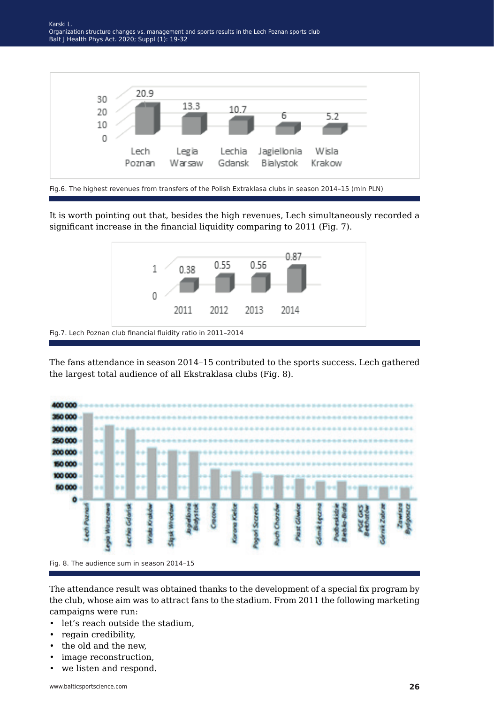

Fig.6. The highest revenues from transfers of the Polish Extraklasa clubs in season 2014–15 (mln PLN)

It is worth pointing out that, besides the high revenues, Lech simultaneously recorded a significant increase in the financial liquidity comparing to 2011 (Fig. 7).



The fans attendance in season 2014–15 contributed to the sports success. Lech gathered the largest total audience of all Ekstraklasa clubs (Fig. 8).



The attendance result was obtained thanks to the development of a special fix program by the club, whose aim was to attract fans to the stadium. From 2011 the following marketing campaigns were run:

- let's reach outside the stadium,
- regain credibility,
- the old and the new,
- image reconstruction,
- we listen and respond.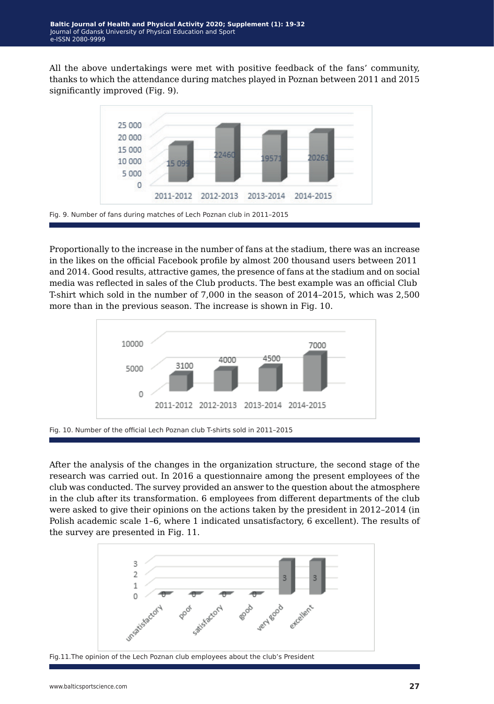All the above undertakings were met with positive feedback of the fans' community, thanks to which the attendance during matches played in Poznan between 2011 and 2015 significantly improved (Fig. 9).



Proportionally to the increase in the number of fans at the stadium, there was an increase in the likes on the official Facebook profile by almost 200 thousand users between 2011 and 2014. Good results, attractive games, the presence of fans at the stadium and on social media was reflected in sales of the Club products. The best example was an official Club T-shirt which sold in the number of 7,000 in the season of 2014–2015, which was 2,500 more than in the previous season. The increase is shown in Fig. 10.



Fig. 10. Number of the official Lech Poznan club T-shirts sold in 2011–2015

After the analysis of the changes in the organization structure, the second stage of the research was carried out. In 2016 a questionnaire among the present employees of the club was conducted. The survey provided an answer to the question about the atmosphere in the club after its transformation. 6 employees from different departments of the club were asked to give their opinions on the actions taken by the president in 2012–2014 (in Polish academic scale 1–6, where 1 indicated unsatisfactory, 6 excellent). The results of the survey are presented in Fig. 11.



Fig.11.The opinion of the Lech Poznan club employees about the club's President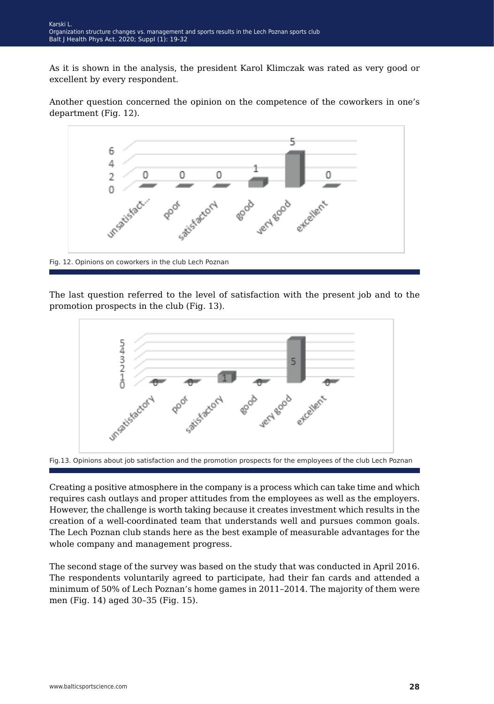As it is shown in the analysis, the president Karol Klimczak was rated as very good or excellent by every respondent.

Another question concerned the opinion on the competence of the coworkers in one's department (Fig. 12).



The last question referred to the level of satisfaction with the present job and to the promotion prospects in the club (Fig. 13).





Creating a positive atmosphere in the company is a process which can take time and which requires cash outlays and proper attitudes from the employees as well as the employers. However, the challenge is worth taking because it creates investment which results in the creation of a well-coordinated team that understands well and pursues common goals. The Lech Poznan club stands here as the best example of measurable advantages for the whole company and management progress.

The second stage of the survey was based on the study that was conducted in April 2016. The respondents voluntarily agreed to participate, had their fan cards and attended a minimum of 50% of Lech Poznan's home games in 2011–2014. The majority of them were men (Fig. 14) aged 30–35 (Fig. 15).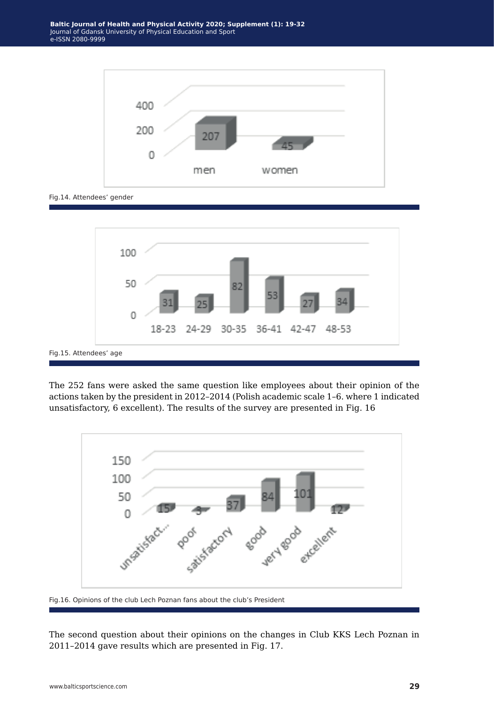

Fig.14. Attendees' gender



The 252 fans were asked the same question like employees about their opinion of the actions taken by the president in 2012–2014 (Polish academic scale 1–6. where 1 indicated unsatisfactory, 6 excellent). The results of the survey are presented in Fig. 16



Fig.16. Opinions of the club Lech Poznan fans about the club's President

The second question about their opinions on the changes in Club KKS Lech Poznan in 2011–2014 gave results which are presented in Fig. 17.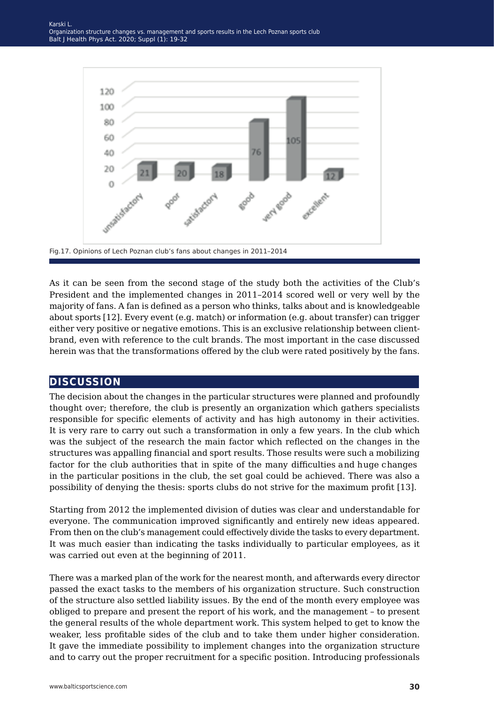

Fig.17. Opinions of Lech Poznan club's fans about changes in 2011–2014

As it can be seen from the second stage of the study both the activities of the Club's President and the implemented changes in 2011–2014 scored well or very well by the majority of fans. A fan is defined as a person who thinks, talks about and is knowledgeable about sports [12]. Every event (e.g. match) or information (e.g. about transfer) can trigger either very positive or negative emotions. This is an exclusive relationship between clientbrand, even with reference to the cult brands. The most important in the case discussed herein was that the transformations offered by the club were rated positively by the fans.

#### **discussion**

The decision about the changes in the particular structures were planned and profoundly thought over; therefore, the club is presently an organization which gathers specialists responsible for specific elements of activity and has high autonomy in their activities. It is very rare to carry out such a transformation in only a few years. In the club which was the subject of the research the main factor which reflected on the changes in the structures was appalling financial and sport results. Those results were such a mobilizing factor for the club authorities that in spite of the many difficulties and huge changes in the particular positions in the club, the set goal could be achieved. There was also a possibility of denying the thesis: sports clubs do not strive for the maximum profit [13].

Starting from 2012 the implemented division of duties was clear and understandable for everyone. The communication improved significantly and entirely new ideas appeared. From then on the club's management could effectively divide the tasks to every department. It was much easier than indicating the tasks individually to particular employees, as it was carried out even at the beginning of 2011.

There was a marked plan of the work for the nearest month, and afterwards every director passed the exact tasks to the members of his organization structure. Such construction of the structure also settled liability issues. By the end of the month every employee was obliged to prepare and present the report of his work, and the management – to present the general results of the whole department work. This system helped to get to know the weaker, less profitable sides of the club and to take them under higher consideration. It gave the immediate possibility to implement changes into the organization structure and to carry out the proper recruitment for a specific position. Introducing professionals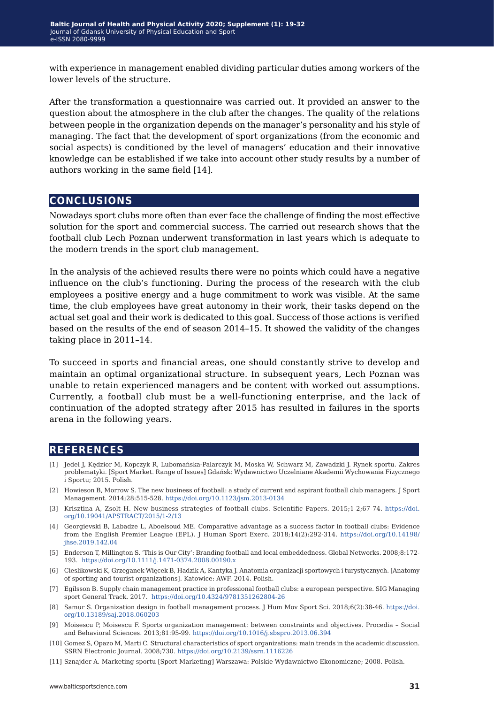with experience in management enabled dividing particular duties among workers of the lower levels of the structure.

After the transformation a questionnaire was carried out. It provided an answer to the question about the atmosphere in the club after the changes. The quality of the relations between people in the organization depends on the manager's personality and his style of managing. The fact that the development of sport organizations (from the economic and social aspects) is conditioned by the level of managers' education and their innovative knowledge can be established if we take into account other study results by a number of authors working in the same field [14].

### **conclusions**

Nowadays sport clubs more often than ever face the challenge of finding the most effective solution for the sport and commercial success. The carried out research shows that the football club Lech Poznan underwent transformation in last years which is adequate to the modern trends in the sport club management.

In the analysis of the achieved results there were no points which could have a negative influence on the club's functioning. During the process of the research with the club employees a positive energy and a huge commitment to work was visible. At the same time, the club employees have great autonomy in their work, their tasks depend on the actual set goal and their work is dedicated to this goal. Success of those actions is verified based on the results of the end of season 2014–15. It showed the validity of the changes taking place in 2011–14.

To succeed in sports and financial areas, one should constantly strive to develop and maintain an optimal organizational structure. In subsequent years, Lech Poznan was unable to retain experienced managers and be content with worked out assumptions. Currently, a football club must be a well-functioning enterprise, and the lack of continuation of the adopted strategy after 2015 has resulted in failures in the sports arena in the following years.

### **references**

- [1] Jedel J, Kędzior M, Kopczyk R, Lubomańska-Palarczyk M, Moska W, Schwarz M, Zawadzki J. Rynek sportu. Zakres problematyki. [Sport Market. Range of Issues] Gdańsk: Wydawnictwo Uczelniane Akademii Wychowania Fizycznego i Sportu; 2015. Polish.
- [2] Howieson B, Morrow S. The new business of football: a study of current and aspirant football club managers. J Sport Management. 2014;28:515-528. <https://doi.org/10.1123/jsm.2013-0134>
- [3] Krisztina A, Zsolt H. New business strategies of football clubs. Scientific Papers. 2015;1-2;67-74. [https://doi.](https://doi.org/10.19041/APSTRACT/2015/1-2/13 ) [org/10.19041/APSTRACT/2015/1-2/13](https://doi.org/10.19041/APSTRACT/2015/1-2/13 )
- [4] Georgievski B, Labadze L, Aboelsoud ME. Comparative advantage as a success factor in football clubs: Evidence from the English Premier League (EPL). J Human Sport Exerc. 2018;14(2):292-314. [https://doi.org/10.14198/](https://doi.org/10.14198/jhse.2019.142.04 ) [jhse.2019.142.04](https://doi.org/10.14198/jhse.2019.142.04 )
- [5] Enderson T, Millington S. 'This is Our City': Branding football and local embeddedness. Global Networks. 2008;8:172- 193. <https://doi.org/10.1111/j.1471-0374.2008.00190.x>
- [6] Cieslikowski K, Grzeganek-Więcek B, Hadzik A, Kantyka J. Anatomia organizacji sportowych i turystycznych. [Anatomy of sporting and tourist organizations]. Katowice: AWF. 2014. Polish.
- [7] Egilsson B. Supply chain management practice in professional football clubs: a european perspective. SIG Managing sport General Track. 2017. <https://doi.org/10.4324/9781351262804-26>
- [8] Samur S. Organization design in football management process. J Hum Mov Sport Sci. 2018;6(2):38-46. [https://doi.](https://doi.org/10.13189/saj.2018.060203) [org/10.13189/saj.2018.060203](https://doi.org/10.13189/saj.2018.060203)
- [9] Moisescu P, Moisescu F. Sports organization management: between constraints and objectives. Procedia Social and Behavioral Sciences. 2013;81:95-99.<https://doi.org/10.1016/j.sbspro.2013.06.394>
- [10] Gomez S, Opazo M, Marti C. Structural characteristics of sport organizations: main trends in the academic discussion. SSRN Electronic Journal. 2008;730. <https://doi.org/10.2139/ssrn.1116226>
- [11] Sznajder A. Marketing sportu [Sport Marketing] Warszawa: Polskie Wydawnictwo Ekonomiczne; 2008. Polish.